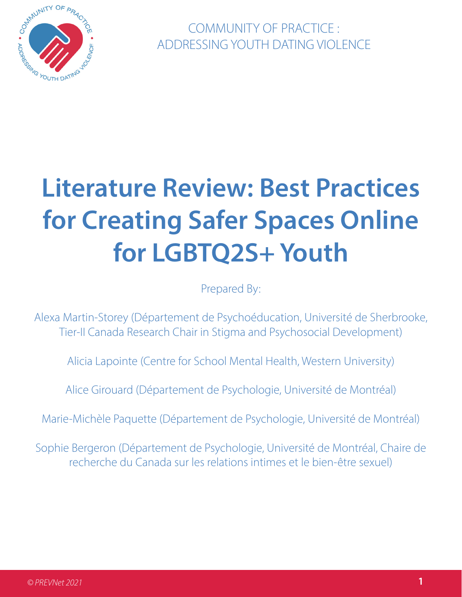

COMMUNITY OF PRACTICE : ADDRESSING YOUTH DATING VIOLENCE

# **Literature Review: Best Practices for Creating Safer Spaces Online for LGBTQ2S+ Youth**

Prepared By:

Alexa Martin-Storey (Département de Psychoéducation, Université de Sherbrooke, Tier-II Canada Research Chair in Stigma and Psychosocial Development)

Alicia Lapointe (Centre for School Mental Health, Western University)

Alice Girouard (Département de Psychologie, Université de Montréal)

Marie-Michèle Paquette (Département de Psychologie, Université de Montréal)

Sophie Bergeron (Département de Psychologie, Université de Montréal, Chaire de recherche du Canada sur les relations intimes et le bien-être sexuel)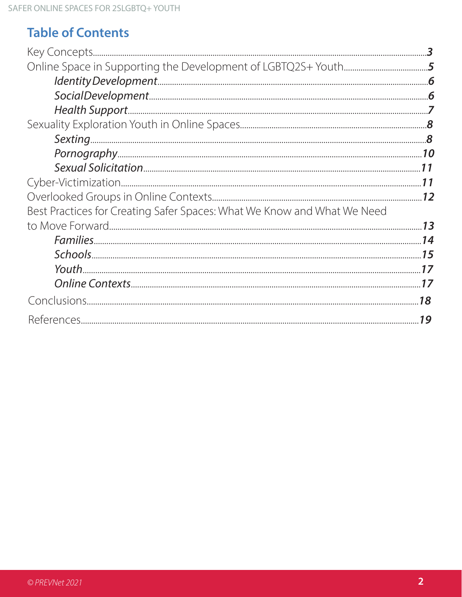# **Table of Contents**

| Best Practices for Creating Safer Spaces: What We Know and What We Need |    |
|-------------------------------------------------------------------------|----|
|                                                                         |    |
|                                                                         |    |
|                                                                         |    |
|                                                                         |    |
|                                                                         |    |
|                                                                         | 18 |
|                                                                         | 19 |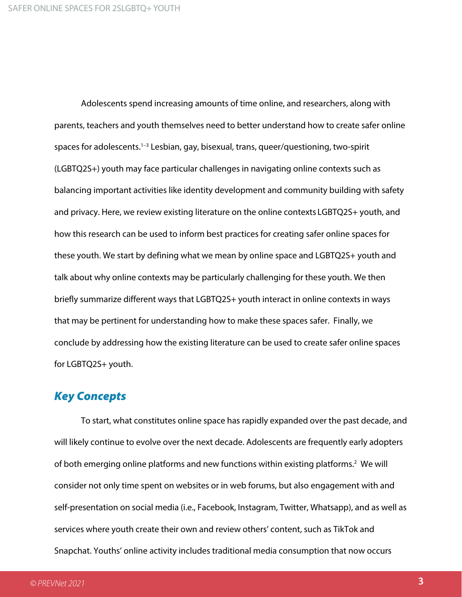Adolescents spend increasing amounts of time online, and researchers, along with parents, teachers and youth themselves need to better understand how to create safer online spaces for adolescents.1–3 Lesbian, gay, bisexual, trans, queer/questioning, two-spirit (LGBTQ2S+) youth may face particular challenges in navigating online contexts such as balancing important activities like identity development and community building with safety and privacy. Here, we review existing literature on the online contexts LGBTQ2S+ youth, and how this research can be used to inform best practices for creating safer online spaces for these youth. We start by defining what we mean by online space and LGBTQ2S+ youth and talk about why online contexts may be particularly challenging for these youth. We then briefly summarize different ways that LGBTQ2S+ youth interact in online contexts in ways that may be pertinent for understanding how to make these spaces safer. Finally, we conclude by addressing how the existing literature can be used to create safer online spaces for LGBTQ2S+ youth.

#### Key Concepts

To start, what constitutes online space has rapidly expanded over the past decade, and will likely continue to evolve over the next decade. Adolescents are frequently early adopters of both emerging online platforms and new functions within existing platforms.<sup>2</sup> We will consider not only time spent on websites or in web forums, but also engagement with and self-presentation on social media (i.e., Facebook, Instagram, Twitter, Whatsapp), and as well as services where youth create their own and review others' content, such as TikTok and Snapchat. Youths' online activity includes traditional media consumption that now occurs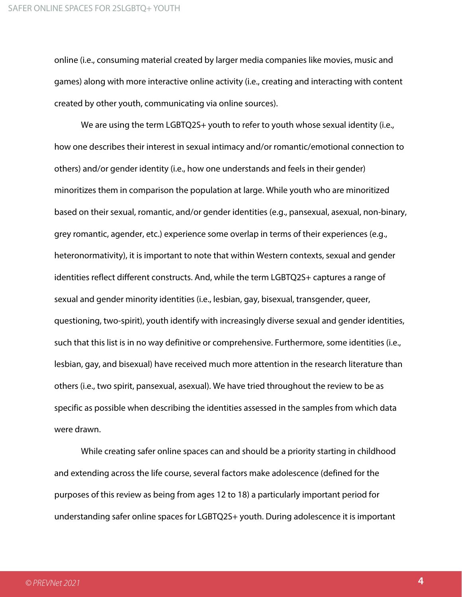online (i.e., consuming material created by larger media companies like movies, music and games) along with more interactive online activity (i.e., creating and interacting with content created by other youth, communicating via online sources).

We are using the term LGBTQ2S+ youth to refer to youth whose sexual identity (i.e., how one describes their interest in sexual intimacy and/or romantic/emotional connection to others) and/or gender identity (i.e., how one understands and feels in their gender) minoritizes them in comparison the population at large. While youth who are minoritized based on their sexual, romantic, and/or gender identities (e.g., pansexual, asexual, non-binary, grey romantic, agender, etc.) experience some overlap in terms of their experiences (e.g., heteronormativity), it is important to note that within Western contexts, sexual and gender identities reflect different constructs. And, while the term LGBTQ2S+ captures a range of sexual and gender minority identities (i.e., lesbian, gay, bisexual, transgender, queer, questioning, two-spirit), youth identify with increasingly diverse sexual and gender identities, such that this list is in no way definitive or comprehensive. Furthermore, some identities (i.e., lesbian, gay, and bisexual) have received much more attention in the research literature than others (i.e., two spirit, pansexual, asexual). We have tried throughout the review to be as specific as possible when describing the identities assessed in the samples from which data were drawn.

While creating safer online spaces can and should be a priority starting in childhood and extending across the life course, several factors make adolescence (defined for the purposes of this review as being from ages 12 to 18) a particularly important period for understanding safer online spaces for LGBTQ2S+ youth. During adolescence it is important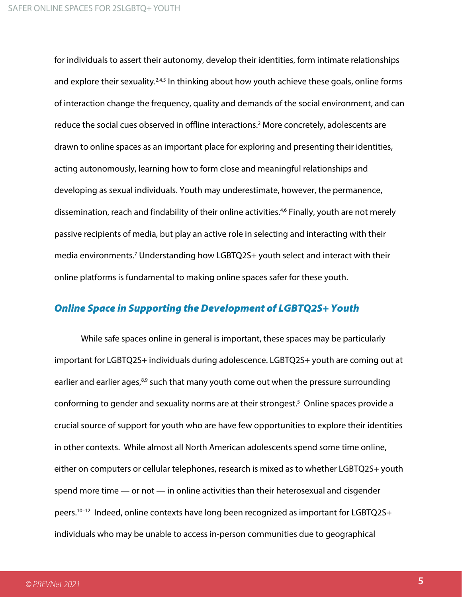for individuals to assert their autonomy, develop their identities, form intimate relationships and explore their sexuality.<sup>2,4,5</sup> In thinking about how youth achieve these goals, online forms of interaction change the frequency, quality and demands of the social environment, and can reduce the social cues observed in offline interactions.<sup>2</sup> More concretely, adolescents are drawn to online spaces as an important place for exploring and presenting their identities, acting autonomously, learning how to form close and meaningful relationships and developing as sexual individuals. Youth may underestimate, however, the permanence, dissemination, reach and findability of their online activities.<sup>4,6</sup> Finally, youth are not merely passive recipients of media, but play an active role in selecting and interacting with their media environments.<sup>7</sup> Understanding how LGBTQ2S+ youth select and interact with their online platforms is fundamental to making online spaces safer for these youth.

#### Online Space in Supporting the Development of LGBTQ2S+ Youth

While safe spaces online in general is important, these spaces may be particularly important for LGBTQ2S+ individuals during adolescence. LGBTQ2S+ youth are coming out at earlier and earlier ages,<sup>8,9</sup> such that many youth come out when the pressure surrounding conforming to gender and sexuality norms are at their strongest.<sup>5</sup> Online spaces provide a crucial source of support for youth who are have few opportunities to explore their identities in other contexts. While almost all North American adolescents spend some time online, either on computers or cellular telephones, research is mixed as to whether LGBTQ2S+ youth spend more time — or not — in online activities than their heterosexual and cisgender peers. 10–12 Indeed, online contexts have long been recognized as important for LGBTQ2S+ individuals who may be unable to access in-person communities due to geographical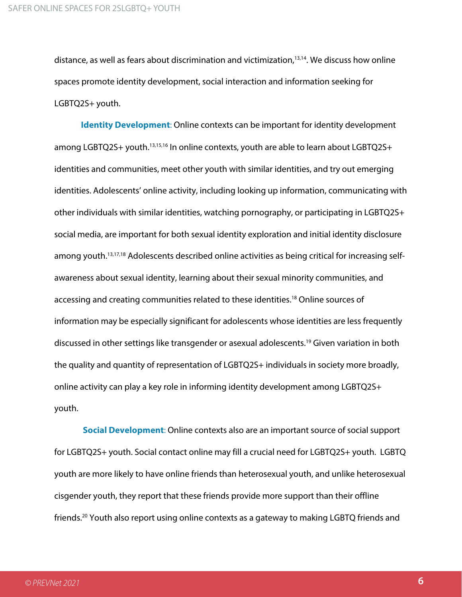distance, as well as fears about discrimination and victimization,<sup>13,14</sup>. We discuss how online spaces promote identity development, social interaction and information seeking for LGBTQ2S+ youth.

**Identity Development**: Online contexts can be important for identity development among LGBTQ2S+ youth.<sup>13,15,16</sup> In online contexts, youth are able to learn about LGBTQ2S+ identities and communities, meet other youth with similar identities, and try out emerging identities. Adolescents' online activity, including looking up information, communicating with other individuals with similar identities, watching pornography, or participating in LGBTQ2S+ social media, are important for both sexual identity exploration and initial identity disclosure among youth.<sup>13,17,18</sup> Adolescents described online activities as being critical for increasing selfawareness about sexual identity, learning about their sexual minority communities, and accessing and creating communities related to these identities. <sup>18</sup> Online sources of information may be especially significant for adolescents whose identities are less frequently discussed in other settings like transgender or asexual adolescents. <sup>19</sup> Given variation in both the quality and quantity of representation of LGBTQ2S+ individuals in society more broadly, online activity can play a key role in informing identity development among LGBTQ2S+ youth.

**Social Development**: Online contexts also are an important source of social support for LGBTQ2S+ youth. Social contact online may fill a crucial need for LGBTQ2S+ youth. LGBTQ youth are more likely to have online friends than heterosexual youth, and unlike heterosexual cisgender youth, they report that these friends provide more support than their offline friends.<sup>20</sup> Youth also report using online contexts as a gateway to making LGBTQ friends and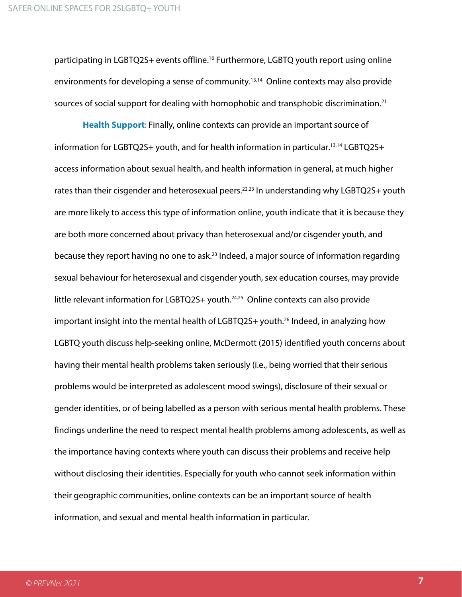participating in LGBTQ2S+ events offline.<sup>16</sup> Furthermore, LGBTQ youth report using online environments for developing a sense of community.13,14 Online contexts may also provide sources of social support for dealing with homophobic and transphobic discrimination.<sup>21</sup>

**Health Support**: Finally, online contexts can provide an important source of information for LGBTQ2S+ youth, and for health information in particular.<sup>13,14</sup> LGBTQ2S+ access information about sexual health, and health information in general, at much higher rates than their cisgender and heterosexual peers.<sup>22,23</sup> In understanding why LGBTQ2S+ youth are more likely to access this type of information online, youth indicate that it is because they are both more concerned about privacy than heterosexual and/or cisgender youth, and because they report having no one to ask.<sup>23</sup> Indeed, a major source of information regarding sexual behaviour for heterosexual and cisgender youth, sex education courses, may provide little relevant information for LGBTQ2S+ youth.<sup>24,25</sup> Online contexts can also provide important insight into the mental health of LGBTQ2S+ youth.<sup>26</sup> Indeed, in analyzing how LGBTQ youth discuss help-seeking online, McDermott (2015) identified youth concerns about having their mental health problems taken seriously (i.e., being worried that their serious problems would be interpreted as adolescent mood swings), disclosure of their sexual or gender identities, or of being labelled as a person with serious mental health problems. These findings underline the need to respect mental health problems among adolescents, as well as the importance having contexts where youth can discuss their problems and receive help without disclosing their identities. Especially for youth who cannot seek information within their geographic communities, online contexts can be an important source of health information, and sexual and mental health information in particular.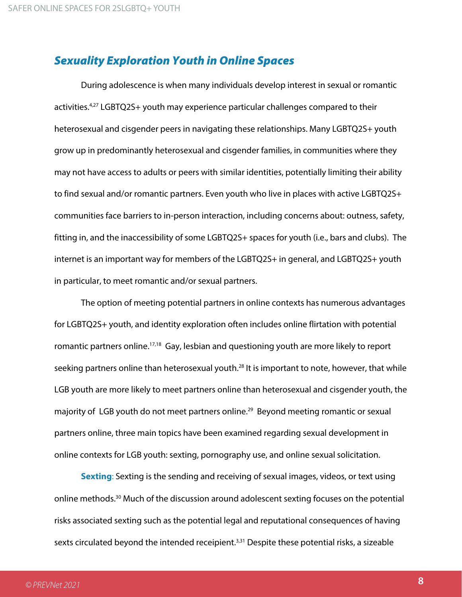### Sexuality Exploration Youth in Online Spaces

During adolescence is when many individuals develop interest in sexual or romantic activities.<sup>4,27</sup> LGBTQ2S+ youth may experience particular challenges compared to their heterosexual and cisgender peers in navigating these relationships. Many LGBTQ2S+ youth grow up in predominantly heterosexual and cisgender families, in communities where they may not have access to adults or peers with similar identities, potentially limiting their ability to find sexual and/or romantic partners. Even youth who live in places with active LGBTQ2S+ communities face barriers to in-person interaction, including concerns about: outness, safety, fitting in, and the inaccessibility of some LGBTQ2S+ spaces for youth (i.e., bars and clubs). The internet is an important way for members of the LGBTQ2S+ in general, and LGBTQ2S+ youth in particular, to meet romantic and/or sexual partners.

The option of meeting potential partners in online contexts has numerous advantages for LGBTQ2S+ youth, and identity exploration often includes online flirtation with potential romantic partners online.<sup>17,18</sup> Gay, lesbian and questioning youth are more likely to report seeking partners online than heterosexual youth.<sup>28</sup> It is important to note, however, that while LGB youth are more likely to meet partners online than heterosexual and cisgender youth, the majority of LGB youth do not meet partners online.<sup>29</sup> Beyond meeting romantic or sexual partners online, three main topics have been examined regarding sexual development in online contexts for LGB youth: sexting, pornography use, and online sexual solicitation.

**Sexting**: Sexting is the sending and receiving of sexual images, videos, or text using online methods.<sup>30</sup> Much of the discussion around adolescent sexting focuses on the potential risks associated sexting such as the potential legal and reputational consequences of having sexts circulated beyond the intended receipient.<sup>3,31</sup> Despite these potential risks, a sizeable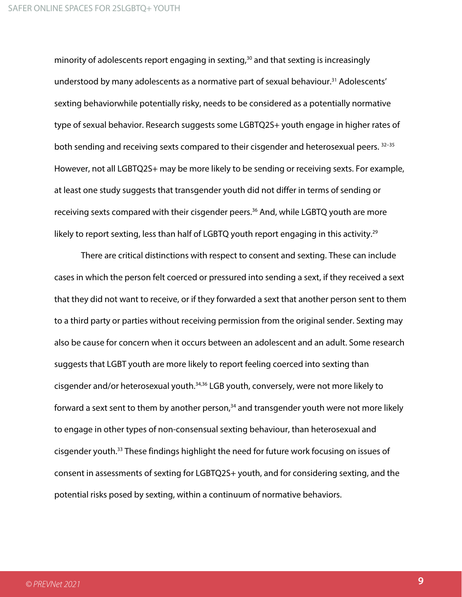minority of adolescents report engaging in sexting, $30$  and that sexting is increasingly understood by many adolescents as a normative part of sexual behaviour.<sup>31</sup> Adolescents' sexting behaviorwhile potentially risky, needs to be considered as a potentially normative type of sexual behavior. Research suggests some LGBTQ2S+ youth engage in higher rates of both sending and receiving sexts compared to their cisgender and heterosexual peers. 32-35 However, not all LGBTQ2S+ may be more likely to be sending or receiving sexts. For example, at least one study suggests that transgender youth did not differ in terms of sending or receiving sexts compared with their cisgender peers.<sup>36</sup> And, while LGBTQ youth are more likely to report sexting, less than half of LGBTQ youth report engaging in this activity. 29

There are critical distinctions with respect to consent and sexting. These can include cases in which the person felt coerced or pressured into sending a sext, if they received a sext that they did not want to receive, or if they forwarded a sext that another person sent to them to a third party or parties without receiving permission from the original sender. Sexting may also be cause for concern when it occurs between an adolescent and an adult. Some research suggests that LGBT youth are more likely to report feeling coerced into sexting than cisgender and/or heterosexual youth.<sup>34,36</sup> LGB youth, conversely, were not more likely to forward a sext sent to them by another person,<sup>34</sup> and transgender youth were not more likely to engage in other types of non-consensual sexting behaviour, than heterosexual and cisgender youth.33 These findings highlight the need for future work focusing on issues of consent in assessments of sexting for LGBTQ2S+ youth, and for considering sexting, and the potential risks posed by sexting, within a continuum of normative behaviors.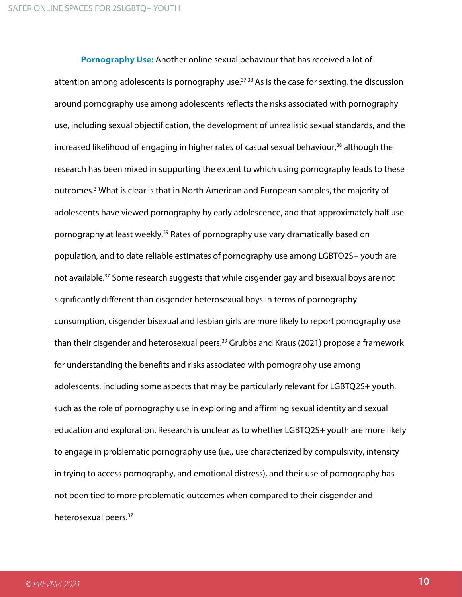**Pornography Use:** Another online sexual behaviour that has received a lot of attention among adolescents is pornography use.<sup>37,38</sup> As is the case for sexting, the discussion around pornography use among adolescents reflects the risks associated with pornography use, including sexual objectification, the development of unrealistic sexual standards, and the increased likelihood of engaging in higher rates of casual sexual behaviour, <sup>38</sup> although the research has been mixed in supporting the extent to which using pornography leads to these outcomes. <sup>3</sup> What is clear is that in North American and European samples, the majority of adolescents have viewed pornography by early adolescence, and that approximately half use pornography at least weekly.<sup>39</sup> Rates of pornography use vary dramatically based on population, and to date reliable estimates of pornography use among LGBTQ2S+ youth are not available.<sup>37</sup> Some research suggests that while cisgender gay and bisexual boys are not significantly different than cisgender heterosexual boys in terms of pornography consumption, cisgender bisexual and lesbian girls are more likely to report pornography use than their cisgender and heterosexual peers.<sup>39</sup> Grubbs and Kraus (2021) propose a framework for understanding the benefits and risks associated with pornography use among adolescents, including some aspects that may be particularly relevant for LGBTQ2S+ youth, such as the role of pornography use in exploring and affirming sexual identity and sexual education and exploration. Research is unclear as to whether LGBTQ2S+ youth are more likely to engage in problematic pornography use (i.e., use characterized by compulsivity, intensity in trying to access pornography, and emotional distress), and their use of pornography has not been tied to more problematic outcomes when compared to their cisgender and heterosexual peers.<sup>37</sup>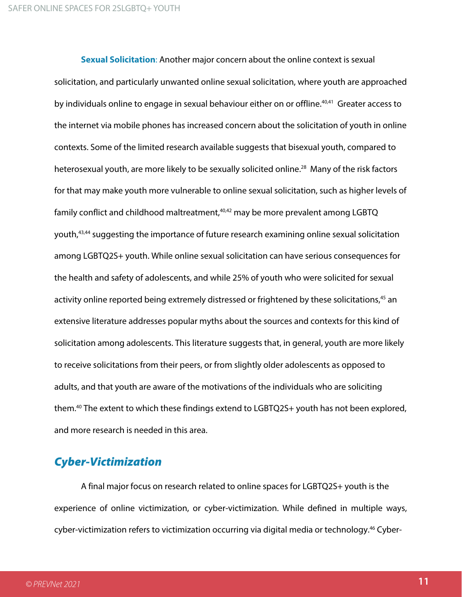**Sexual Solicitation**: Another major concern about the online context is sexual solicitation, and particularly unwanted online sexual solicitation, where youth are approached by individuals online to engage in sexual behaviour either on or offline.<sup>40,41</sup> Greater access to the internet via mobile phones has increased concern about the solicitation of youth in online contexts. Some of the limited research available suggests that bisexual youth, compared to heterosexual youth, are more likely to be sexually solicited online.<sup>28</sup> Many of the risk factors for that may make youth more vulnerable to online sexual solicitation, such as higher levels of family conflict and childhood maltreatment,<sup>40,42</sup> may be more prevalent among LGBTQ youth,43,44 suggesting the importance of future research examining online sexual solicitation among LGBTQ2S+ youth. While online sexual solicitation can have serious consequences for the health and safety of adolescents, and while 25% of youth who were solicited for sexual activity online reported being extremely distressed or frightened by these solicitations,<sup>45</sup> an extensive literature addresses popular myths about the sources and contexts for this kind of solicitation among adolescents. This literature suggests that, in general, youth are more likely to receive solicitations from their peers, or from slightly older adolescents as opposed to adults, and that youth are aware of the motivations of the individuals who are soliciting them. <sup>40</sup> The extent to which these findings extend to LGBTQ2S+ youth has not been explored, and more research is needed in this area.

# Cyber-Victimization

A final major focus on research related to online spaces for LGBTQ2S+ youth is the experience of online victimization, or cyber-victimization. While defined in multiple ways, cyber-victimization refers to victimization occurring via digital media or technology.<sup>46</sup> Cyber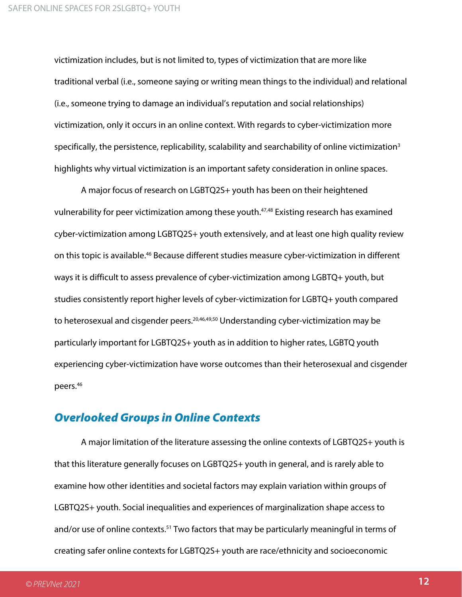victimization includes, but is not limited to, types of victimization that are more like traditional verbal (i.e., someone saying or writing mean things to the individual) and relational (i.e., someone trying to damage an individual's reputation and social relationships) victimization, only it occurs in an online context. With regards to cyber-victimization more specifically, the persistence, replicability, scalability and searchability of online victimization<sup>3</sup> highlights why virtual victimization is an important safety consideration in online spaces.

A major focus of research on LGBTQ2S+ youth has been on their heightened vulnerability for peer victimization among these youth.<sup>47,48</sup> Existing research has examined cyber-victimization among LGBTQ2S+ youth extensively, and at least one high quality review on this topic is available. <sup>46</sup> Because different studies measure cyber-victimization in different ways it is difficult to assess prevalence of cyber-victimization among LGBTQ+ youth, but studies consistently report higher levels of cyber-victimization for LGBTQ+ youth compared to heterosexual and cisgender peers.<sup>20,46,49,50</sup> Understanding cyber-victimization may be particularly important for LGBTQ2S+ youth as in addition to higher rates, LGBTQ youth experiencing cyber-victimization have worse outcomes than their heterosexual and cisgender peers. 46

#### Overlooked Groups in Online Contexts

A major limitation of the literature assessing the online contexts of LGBTQ2S+ youth is that this literature generally focuses on LGBTQ2S+ youth in general, and is rarely able to examine how other identities and societal factors may explain variation within groups of LGBTQ2S+ youth. Social inequalities and experiences of marginalization shape access to and/or use of online contexts.<sup>51</sup> Two factors that may be particularly meaningful in terms of creating safer online contexts for LGBTQ2S+ youth are race/ethnicity and socioeconomic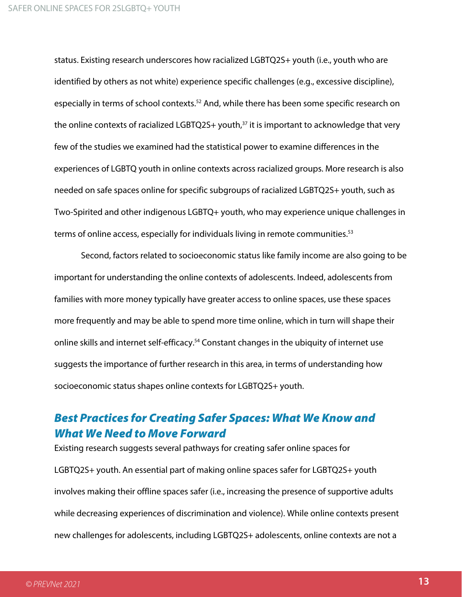status. Existing research underscores how racialized LGBTQ2S+ youth (i.e., youth who are identified by others as not white) experience specific challenges (e.g., excessive discipline), especially in terms of school contexts.<sup>52</sup> And, while there has been some specific research on the online contexts of racialized LGBTQ2S+ youth, $37$  it is important to acknowledge that very few of the studies we examined had the statistical power to examine differences in the experiences of LGBTQ youth in online contexts across racialized groups. More research is also needed on safe spaces online for specific subgroups of racialized LGBTQ2S+ youth, such as Two-Spirited and other indigenous LGBTQ+ youth, who may experience unique challenges in terms of online access, especially for individuals living in remote communities.<sup>53</sup>

Second, factors related to socioeconomic status like family income are also going to be important for understanding the online contexts of adolescents. Indeed, adolescents from families with more money typically have greater access to online spaces, use these spaces more frequently and may be able to spend more time online, which in turn will shape their online skills and internet self-efficacy. <sup>54</sup> Constant changes in the ubiquity of internet use suggests the importance of further research in this area, in terms of understanding how socioeconomic status shapes online contexts for LGBTQ2S+ youth.

# Best Practices for Creating Safer Spaces: What We Know and What We Need to Move Forward

Existing research suggests several pathways for creating safer online spaces for LGBTQ2S+ youth. An essential part of making online spaces safer for LGBTQ2S+ youth involves making their offline spaces safer (i.e., increasing the presence of supportive adults while decreasing experiences of discrimination and violence). While online contexts present new challenges for adolescents, including LGBTQ2S+ adolescents, online contexts are not a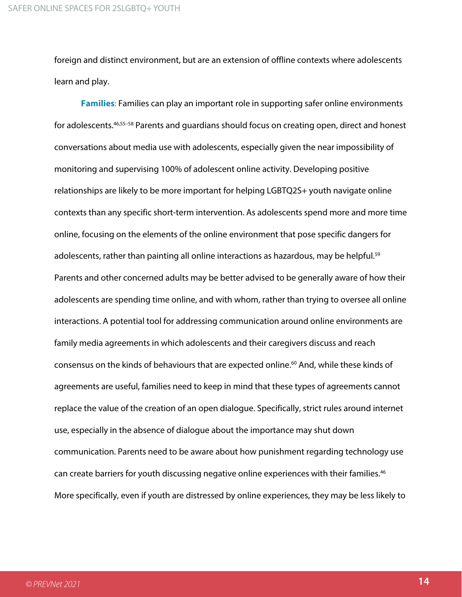foreign and distinct environment, but are an extension of offline contexts where adolescents learn and play.

**Families**: Families can play an important role in supporting safer online environments for adolescents.46,55–58 Parents and guardians should focus on creating open, direct and honest conversations about media use with adolescents, especially given the near impossibility of monitoring and supervising 100% of adolescent online activity. Developing positive relationships are likely to be more important for helping LGBTQ2S+ youth navigate online contexts than any specific short-term intervention. As adolescents spend more and more time online, focusing on the elements of the online environment that pose specific dangers for adolescents, rather than painting all online interactions as hazardous, may be helpful.<sup>59</sup> Parents and other concerned adults may be better advised to be generally aware of how their adolescents are spending time online, and with whom, rather than trying to oversee all online interactions. A potential tool for addressing communication around online environments are family media agreements in which adolescents and their caregivers discuss and reach consensus on the kinds of behaviours that are expected online.<sup>60</sup> And, while these kinds of agreements are useful, families need to keep in mind that these types of agreements cannot replace the value of the creation of an open dialogue. Specifically, strict rules around internet use, especially in the absence of dialogue about the importance may shut down communication. Parents need to be aware about how punishment regarding technology use can create barriers for youth discussing negative online experiences with their families. 46 More specifically, even if youth are distressed by online experiences, they may be less likely to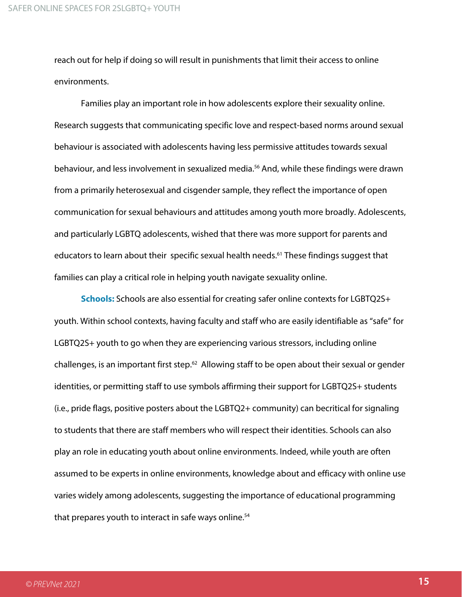reach out for help if doing so will result in punishments that limit their access to online environments.

Families play an important role in how adolescents explore their sexuality online. Research suggests that communicating specific love and respect-based norms around sexual behaviour is associated with adolescents having less permissive attitudes towards sexual behaviour, and less involvement in sexualized media.<sup>56</sup> And, while these findings were drawn from a primarily heterosexual and cisgender sample, they reflect the importance of open communication for sexual behaviours and attitudes among youth more broadly. Adolescents, and particularly LGBTQ adolescents, wished that there was more support for parents and educators to learn about their specific sexual health needs.<sup>61</sup> These findings suggest that families can play a critical role in helping youth navigate sexuality online.

**Schools:** Schools are also essential for creating safer online contexts for LGBTQ2S+ youth. Within school contexts, having faculty and staff who are easily identifiable as "safe" for LGBTQ2S+ youth to go when they are experiencing various stressors, including online challenges, is an important first step.<sup>62</sup> Allowing staff to be open about their sexual or gender identities, or permitting staff to use symbols affirming their support for LGBTQ2S+ students (i.e., pride flags, positive posters about the LGBTQ2+ community) can becritical for signaling to students that there are staff members who will respect their identities. Schools can also play an role in educating youth about online environments. Indeed, while youth are often assumed to be experts in online environments, knowledge about and efficacy with online use varies widely among adolescents, suggesting the importance of educational programming that prepares youth to interact in safe ways online.<sup>54</sup>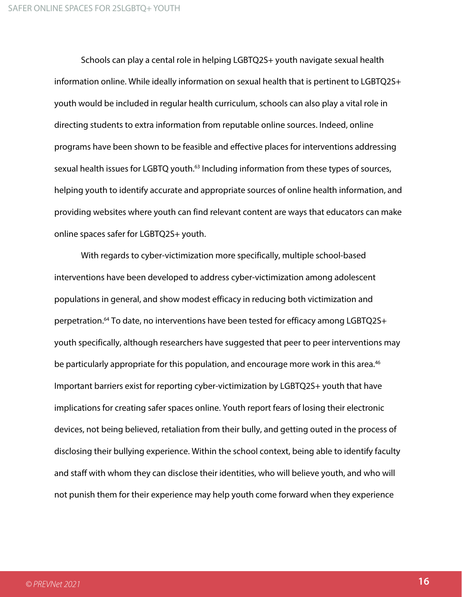Schools can play a cental role in helping LGBTQ2S+ youth navigate sexual health information online. While ideally information on sexual health that is pertinent to LGBTQ2S+ youth would be included in regular health curriculum, schools can also play a vital role in directing students to extra information from reputable online sources. Indeed, online programs have been shown to be feasible and effective places for interventions addressing sexual health issues for LGBTQ youth.<sup>63</sup> Including information from these types of sources, helping youth to identify accurate and appropriate sources of online health information, and providing websites where youth can find relevant content are ways that educators can make online spaces safer for LGBTQ2S+ youth.

With regards to cyber-victimization more specifically, multiple school-based interventions have been developed to address cyber-victimization among adolescent populations in general, and show modest efficacy in reducing both victimization and perpetration.64 To date, no interventions have been tested for efficacy among LGBTQ2S+ youth specifically, although researchers have suggested that peer to peer interventions may be particularly appropriate for this population, and encourage more work in this area.<sup>46</sup> Important barriers exist for reporting cyber-victimization by LGBTQ2S+ youth that have implications for creating safer spaces online. Youth report fears of losing their electronic devices, not being believed, retaliation from their bully, and getting outed in the process of disclosing their bullying experience. Within the school context, being able to identify faculty and staff with whom they can disclose their identities, who will believe youth, and who will not punish them for their experience may help youth come forward when they experience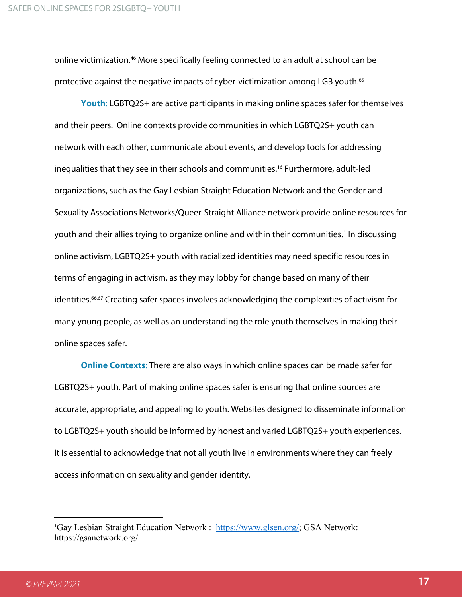online victimization.<sup>46</sup> More specifically feeling connected to an adult at school can be protective against the negative impacts of cyber-victimization among LGB youth.<sup>65</sup>

**Youth**: LGBTQ2S+ are active participants in making online spaces safer for themselves and their peers. Online contexts provide communities in which LGBTQ2S+ youth can network with each other, communicate about events, and develop tools for addressing inequalities that they see in their schools and communities.<sup>16</sup> Furthermore, adult-led organizations, such as the Gay Lesbian Straight Education Network and the Gender and Sexuality Associations Networks/Queer-Straight Alliance network provide online resources for youth and their allies trying to organize online and within their communities.<sup>[1](#page-16-0)</sup> In discussing online activism, LGBTQ2S+ youth with racialized identities may need specific resources in terms of engaging in activism, as they may lobby for change based on many of their identities.<sup>66,67</sup> Creating safer spaces involves acknowledging the complexities of activism for many young people, as well as an understanding the role youth themselves in making their online spaces safer.

**Online Contexts**: There are also ways in which online spaces can be made safer for LGBTQ2S+ youth. Part of making online spaces safer is ensuring that online sources are accurate, appropriate, and appealing to youth. Websites designed to disseminate information to LGBTQ2S+ youth should be informed by honest and varied LGBTQ2S+ youth experiences. It is essential to acknowledge that not all youth live in environments where they can freely access information on sexuality and gender identity.

<span id="page-16-0"></span><sup>&</sup>lt;sup>1</sup>Gay Lesbian Straight Education Network : [https://www.glsen.org/;](https://www.glsen.org/) GSA Network: https://gsanetwork.org/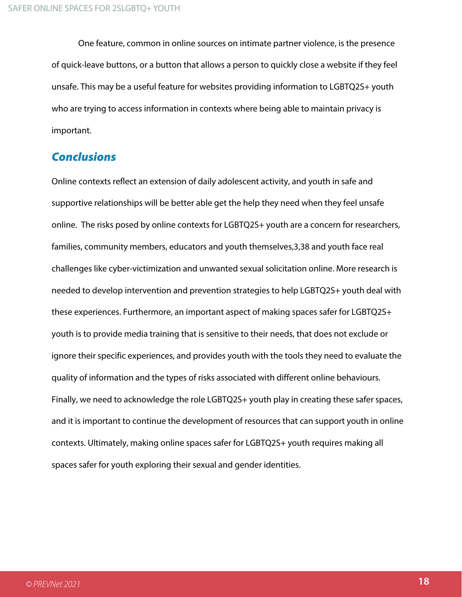One feature, common in online sources on intimate partner violence, is the presence of quick-leave buttons, or a button that allows a person to quickly close a website if they feel unsafe. This may be a useful feature for websites providing information to LGBTQ2S+ youth who are trying to access information in contexts where being able to maintain privacy is important.

## Conclusions

Online contexts reflect an extension of daily adolescent activity, and youth in safe and supportive relationships will be better able get the help they need when they feel unsafe online. The risks posed by online contexts for LGBTQ2S+ youth are a concern for researchers, families, community members, educators and youth themselves,3,38 and youth face real challenges like cyber-victimization and unwanted sexual solicitation online. More research is needed to develop intervention and prevention strategies to help LGBTQ2S+ youth deal with these experiences. Furthermore, an important aspect of making spaces safer for LGBTQ2S+ youth is to provide media training that is sensitive to their needs, that does not exclude or ignore their specific experiences, and provides youth with the tools they need to evaluate the quality of information and the types of risks associated with different online behaviours. Finally, we need to acknowledge the role LGBTQ2S+ youth play in creating these safer spaces, and it is important to continue the development of resources that can support youth in online contexts. Ultimately, making online spaces safer for LGBTQ2S+ youth requires making all spaces safer for youth exploring their sexual and gender identities.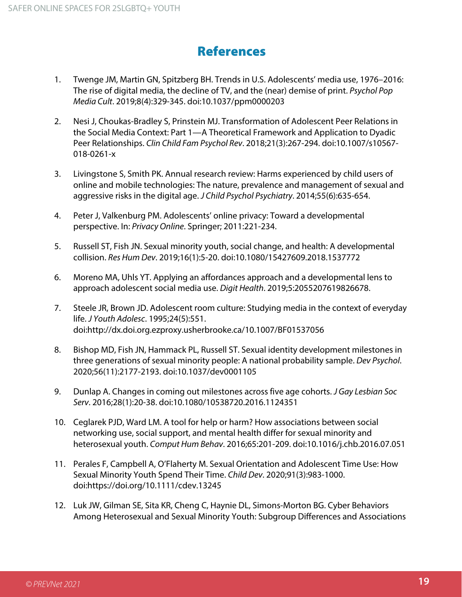# References

- 1. Twenge JM, Martin GN, Spitzberg BH. Trends in U.S. Adolescents' media use, 1976–2016: The rise of digital media, the decline of TV, and the (near) demise of print. *Psychol Pop Media Cult*. 2019;8(4):329-345. doi:10.1037/ppm0000203
- 2. Nesi J, Choukas-Bradley S, Prinstein MJ. Transformation of Adolescent Peer Relations in the Social Media Context: Part 1—A Theoretical Framework and Application to Dyadic Peer Relationships. *Clin Child Fam Psychol Rev*. 2018;21(3):267-294. doi:10.1007/s10567- 018-0261-x
- 3. Livingstone S, Smith PK. Annual research review: Harms experienced by child users of online and mobile technologies: The nature, prevalence and management of sexual and aggressive risks in the digital age. *J Child Psychol Psychiatry*. 2014;55(6):635-654.
- 4. Peter J, Valkenburg PM. Adolescents' online privacy: Toward a developmental perspective. In: *Privacy Online*. Springer; 2011:221-234.
- 5. Russell ST, Fish JN. Sexual minority youth, social change, and health: A developmental collision. *Res Hum Dev*. 2019;16(1):5-20. doi:10.1080/15427609.2018.1537772
- 6. Moreno MA, Uhls YT. Applying an affordances approach and a developmental lens to approach adolescent social media use. *Digit Health*. 2019;5:2055207619826678.
- 7. Steele JR, Brown JD. Adolescent room culture: Studying media in the context of everyday life. *J Youth Adolesc*. 1995;24(5):551. doi:http://dx.doi.org.ezproxy.usherbrooke.ca/10.1007/BF01537056
- 8. Bishop MD, Fish JN, Hammack PL, Russell ST. Sexual identity development milestones in three generations of sexual minority people: A national probability sample. *Dev Psychol*. 2020;56(11):2177-2193. doi:10.1037/dev0001105
- 9. Dunlap A. Changes in coming out milestones across five age cohorts. *J Gay Lesbian Soc Serv*. 2016;28(1):20-38. doi:10.1080/10538720.2016.1124351
- 10. Ceglarek PJD, Ward LM. A tool for help or harm? How associations between social networking use, social support, and mental health differ for sexual minority and heterosexual youth. *Comput Hum Behav*. 2016;65:201-209. doi:10.1016/j.chb.2016.07.051
- 11. Perales F, Campbell A, O'Flaherty M. Sexual Orientation and Adolescent Time Use: How Sexual Minority Youth Spend Their Time. *Child Dev*. 2020;91(3):983-1000. doi:https://doi.org/10.1111/cdev.13245
- 12. Luk JW, Gilman SE, Sita KR, Cheng C, Haynie DL, Simons-Morton BG. Cyber Behaviors Among Heterosexual and Sexual Minority Youth: Subgroup Differences and Associations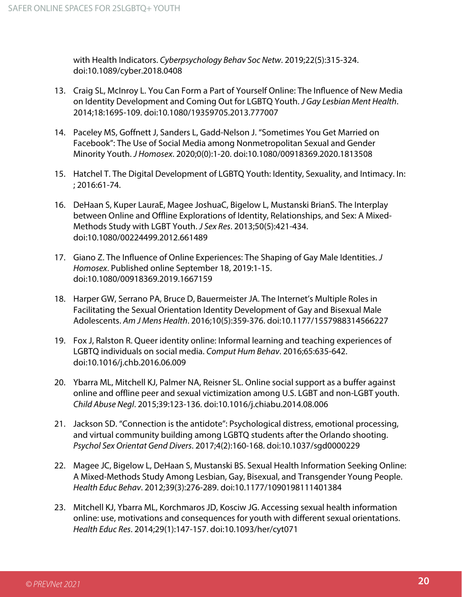with Health Indicators. *Cyberpsychology Behav Soc Netw*. 2019;22(5):315-324. doi:10.1089/cyber.2018.0408

- 13. Craig SL, McInroy L. You Can Form a Part of Yourself Online: The Influence of New Media on Identity Development and Coming Out for LGBTQ Youth. *J Gay Lesbian Ment Health*. 2014;18:1695-109. doi:10.1080/19359705.2013.777007
- 14. Paceley MS, Goffnett J, Sanders L, Gadd-Nelson J. "Sometimes You Get Married on Facebook": The Use of Social Media among Nonmetropolitan Sexual and Gender Minority Youth. *J Homosex*. 2020;0(0):1-20. doi:10.1080/00918369.2020.1813508
- 15. Hatchel T. The Digital Development of LGBTQ Youth: Identity, Sexuality, and Intimacy. In: ; 2016:61-74.
- 16. DeHaan S, Kuper LauraE, Magee JoshuaC, Bigelow L, Mustanski BrianS. The Interplay between Online and Offline Explorations of Identity, Relationships, and Sex: A Mixed-Methods Study with LGBT Youth. *J Sex Res*. 2013;50(5):421-434. doi:10.1080/00224499.2012.661489
- 17. Giano Z. The Influence of Online Experiences: The Shaping of Gay Male Identities. *J Homosex*. Published online September 18, 2019:1-15. doi:10.1080/00918369.2019.1667159
- 18. Harper GW, Serrano PA, Bruce D, Bauermeister JA. The Internet's Multiple Roles in Facilitating the Sexual Orientation Identity Development of Gay and Bisexual Male Adolescents. *Am J Mens Health*. 2016;10(5):359-376. doi:10.1177/1557988314566227
- 19. Fox J, Ralston R. Queer identity online: Informal learning and teaching experiences of LGBTQ individuals on social media. *Comput Hum Behav*. 2016;65:635-642. doi:10.1016/j.chb.2016.06.009
- 20. Ybarra ML, Mitchell KJ, Palmer NA, Reisner SL. Online social support as a buffer against online and offline peer and sexual victimization among U.S. LGBT and non-LGBT youth. *Child Abuse Negl*. 2015;39:123-136. doi:10.1016/j.chiabu.2014.08.006
- 21. Jackson SD. "Connection is the antidote": Psychological distress, emotional processing, and virtual community building among LGBTQ students after the Orlando shooting. *Psychol Sex Orientat Gend Divers*. 2017;4(2):160-168. doi:10.1037/sgd0000229
- 22. Magee JC, Bigelow L, DeHaan S, Mustanski BS. Sexual Health Information Seeking Online: A Mixed-Methods Study Among Lesbian, Gay, Bisexual, and Transgender Young People. *Health Educ Behav*. 2012;39(3):276-289. doi:10.1177/1090198111401384
- 23. Mitchell KJ, Ybarra ML, Korchmaros JD, Kosciw JG. Accessing sexual health information online: use, motivations and consequences for youth with different sexual orientations. *Health Educ Res*. 2014;29(1):147-157. doi:10.1093/her/cyt071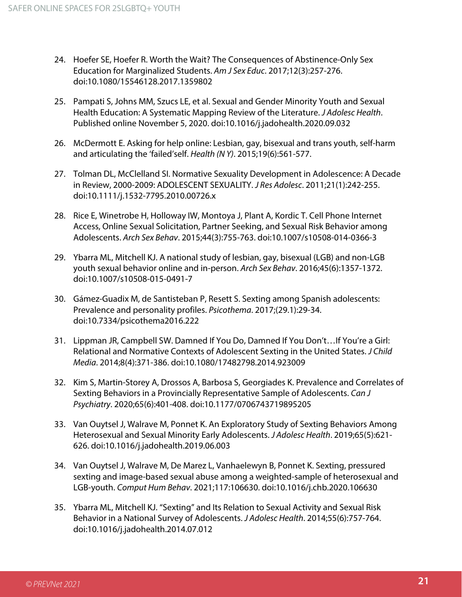- 24. Hoefer SE, Hoefer R. Worth the Wait? The Consequences of Abstinence-Only Sex Education for Marginalized Students. *Am J Sex Educ*. 2017;12(3):257-276. doi:10.1080/15546128.2017.1359802
- 25. Pampati S, Johns MM, Szucs LE, et al. Sexual and Gender Minority Youth and Sexual Health Education: A Systematic Mapping Review of the Literature. *J Adolesc Health*. Published online November 5, 2020. doi:10.1016/j.jadohealth.2020.09.032
- 26. McDermott E. Asking for help online: Lesbian, gay, bisexual and trans youth, self-harm and articulating the 'failed'self. *Health (N Y)*. 2015;19(6):561-577.
- 27. Tolman DL, McClelland SI. Normative Sexuality Development in Adolescence: A Decade in Review, 2000-2009: ADOLESCENT SEXUALITY. *J Res Adolesc*. 2011;21(1):242-255. doi:10.1111/j.1532-7795.2010.00726.x
- 28. Rice E, Winetrobe H, Holloway IW, Montoya J, Plant A, Kordic T. Cell Phone Internet Access, Online Sexual Solicitation, Partner Seeking, and Sexual Risk Behavior among Adolescents. *Arch Sex Behav*. 2015;44(3):755-763. doi:10.1007/s10508-014-0366-3
- 29. Ybarra ML, Mitchell KJ. A national study of lesbian, gay, bisexual (LGB) and non-LGB youth sexual behavior online and in-person. *Arch Sex Behav*. 2016;45(6):1357-1372. doi:10.1007/s10508-015-0491-7
- 30. Gámez-Guadix M, de Santisteban P, Resett S. Sexting among Spanish adolescents: Prevalence and personality profiles. *Psicothema*. 2017;(29.1):29-34. doi:10.7334/psicothema2016.222
- 31. Lippman JR, Campbell SW. Damned If You Do, Damned If You Don't…If You're a Girl: Relational and Normative Contexts of Adolescent Sexting in the United States. *J Child Media*. 2014;8(4):371-386. doi:10.1080/17482798.2014.923009
- 32. Kim S, Martin-Storey A, Drossos A, Barbosa S, Georgiades K. Prevalence and Correlates of Sexting Behaviors in a Provincially Representative Sample of Adolescents. *Can J Psychiatry*. 2020;65(6):401-408. doi:10.1177/0706743719895205
- 33. Van Ouytsel J, Walrave M, Ponnet K. An Exploratory Study of Sexting Behaviors Among Heterosexual and Sexual Minority Early Adolescents. *J Adolesc Health*. 2019;65(5):621- 626. doi:10.1016/j.jadohealth.2019.06.003
- 34. Van Ouytsel J, Walrave M, De Marez L, Vanhaelewyn B, Ponnet K. Sexting, pressured sexting and image-based sexual abuse among a weighted-sample of heterosexual and LGB-youth. *Comput Hum Behav*. 2021;117:106630. doi:10.1016/j.chb.2020.106630
- 35. Ybarra ML, Mitchell KJ. "Sexting" and Its Relation to Sexual Activity and Sexual Risk Behavior in a National Survey of Adolescents. *J Adolesc Health*. 2014;55(6):757-764. doi:10.1016/j.jadohealth.2014.07.012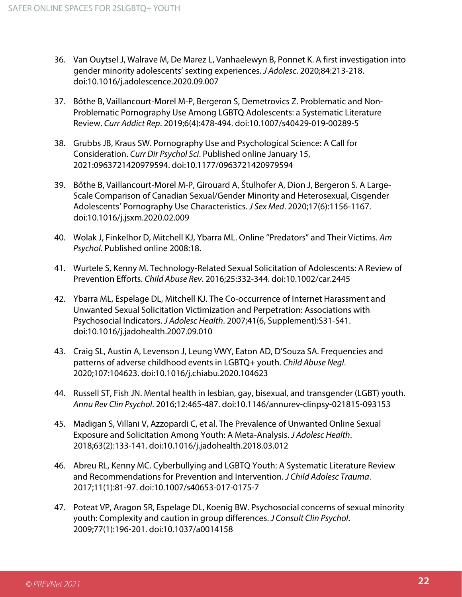- 36. Van Ouytsel J, Walrave M, De Marez L, Vanhaelewyn B, Ponnet K. A first investigation into gender minority adolescents' sexting experiences. *J Adolesc*. 2020;84:213-218. doi:10.1016/j.adolescence.2020.09.007
- 37. Bőthe B, Vaillancourt-Morel M-P, Bergeron S, Demetrovics Z. Problematic and Non-Problematic Pornography Use Among LGBTQ Adolescents: a Systematic Literature Review. *Curr Addict Rep*. 2019;6(4):478-494. doi:10.1007/s40429-019-00289-5
- 38. Grubbs JB, Kraus SW. Pornography Use and Psychological Science: A Call for Consideration. *Curr Dir Psychol Sci*. Published online January 15, 2021:0963721420979594. doi:10.1177/0963721420979594
- 39. Bőthe B, Vaillancourt-Morel M-P, Girouard A, Štulhofer A, Dion J, Bergeron S. A Large-Scale Comparison of Canadian Sexual/Gender Minority and Heterosexual, Cisgender Adolescents' Pornography Use Characteristics. *J Sex Med*. 2020;17(6):1156-1167. doi:10.1016/j.jsxm.2020.02.009
- 40. Wolak J, Finkelhor D, Mitchell KJ, Ybarra ML. Online "Predators" and Their Victims. *Am Psychol*. Published online 2008:18.
- 41. Wurtele S, Kenny M. Technology-Related Sexual Solicitation of Adolescents: A Review of Prevention Efforts. *Child Abuse Rev*. 2016;25:332-344. doi:10.1002/car.2445
- 42. Ybarra ML, Espelage DL, Mitchell KJ. The Co-occurrence of Internet Harassment and Unwanted Sexual Solicitation Victimization and Perpetration: Associations with Psychosocial Indicators. *J Adolesc Health*. 2007;41(6, Supplement):S31-S41. doi:10.1016/j.jadohealth.2007.09.010
- 43. Craig SL, Austin A, Levenson J, Leung VWY, Eaton AD, D'Souza SA. Frequencies and patterns of adverse childhood events in LGBTQ+ youth. *Child Abuse Negl*. 2020;107:104623. doi:10.1016/j.chiabu.2020.104623
- 44. Russell ST, Fish JN. Mental health in lesbian, gay, bisexual, and transgender (LGBT) youth. *Annu Rev Clin Psychol*. 2016;12:465-487. doi:10.1146/annurev-clinpsy-021815-093153
- 45. Madigan S, Villani V, Azzopardi C, et al. The Prevalence of Unwanted Online Sexual Exposure and Solicitation Among Youth: A Meta-Analysis. *J Adolesc Health*. 2018;63(2):133-141. doi:10.1016/j.jadohealth.2018.03.012
- 46. Abreu RL, Kenny MC. Cyberbullying and LGBTQ Youth: A Systematic Literature Review and Recommendations for Prevention and Intervention. *J Child Adolesc Trauma*. 2017;11(1):81-97. doi:10.1007/s40653-017-0175-7
- 47. Poteat VP, Aragon SR, Espelage DL, Koenig BW. Psychosocial concerns of sexual minority youth: Complexity and caution in group differences. *J Consult Clin Psychol*. 2009;77(1):196-201. doi:10.1037/a0014158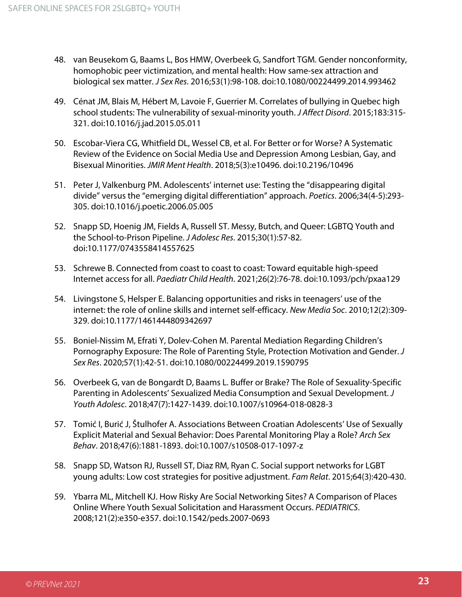- 48. van Beusekom G, Baams L, Bos HMW, Overbeek G, Sandfort TGM. Gender nonconformity, homophobic peer victimization, and mental health: How same-sex attraction and biological sex matter. *J Sex Res*. 2016;53(1):98-108. doi:10.1080/00224499.2014.993462
- 49. Cénat JM, Blais M, Hébert M, Lavoie F, Guerrier M. Correlates of bullying in Quebec high school students: The vulnerability of sexual-minority youth. *J Affect Disord*. 2015;183:315- 321. doi:10.1016/j.jad.2015.05.011
- 50. Escobar-Viera CG, Whitfield DL, Wessel CB, et al. For Better or for Worse? A Systematic Review of the Evidence on Social Media Use and Depression Among Lesbian, Gay, and Bisexual Minorities. *JMIR Ment Health*. 2018;5(3):e10496. doi:10.2196/10496
- 51. Peter J, Valkenburg PM. Adolescents' internet use: Testing the "disappearing digital divide" versus the "emerging digital differentiation" approach. *Poetics*. 2006;34(4-5):293- 305. doi:10.1016/j.poetic.2006.05.005
- 52. Snapp SD, Hoenig JM, Fields A, Russell ST. Messy, Butch, and Queer: LGBTQ Youth and the School-to-Prison Pipeline. *J Adolesc Res*. 2015;30(1):57-82. doi:10.1177/0743558414557625
- 53. Schrewe B. Connected from coast to coast to coast: Toward equitable high-speed Internet access for all. *Paediatr Child Health*. 2021;26(2):76-78. doi:10.1093/pch/pxaa129
- 54. Livingstone S, Helsper E. Balancing opportunities and risks in teenagers' use of the internet: the role of online skills and internet self-efficacy. *New Media Soc*. 2010;12(2):309- 329. doi:10.1177/1461444809342697
- 55. Boniel-Nissim M, Efrati Y, Dolev-Cohen M. Parental Mediation Regarding Children's Pornography Exposure: The Role of Parenting Style, Protection Motivation and Gender. *J Sex Res*. 2020;57(1):42-51. doi:10.1080/00224499.2019.1590795
- 56. Overbeek G, van de Bongardt D, Baams L. Buffer or Brake? The Role of Sexuality-Specific Parenting in Adolescents' Sexualized Media Consumption and Sexual Development. *J Youth Adolesc*. 2018;47(7):1427-1439. doi:10.1007/s10964-018-0828-3
- 57. Tomić I, Burić J, Štulhofer A. Associations Between Croatian Adolescents' Use of Sexually Explicit Material and Sexual Behavior: Does Parental Monitoring Play a Role? *Arch Sex Behav*. 2018;47(6):1881-1893. doi:10.1007/s10508-017-1097-z
- 58. Snapp SD, Watson RJ, Russell ST, Diaz RM, Ryan C. Social support networks for LGBT young adults: Low cost strategies for positive adjustment. *Fam Relat*. 2015;64(3):420-430.
- 59. Ybarra ML, Mitchell KJ. How Risky Are Social Networking Sites? A Comparison of Places Online Where Youth Sexual Solicitation and Harassment Occurs. *PEDIATRICS*. 2008;121(2):e350-e357. doi:10.1542/peds.2007-0693